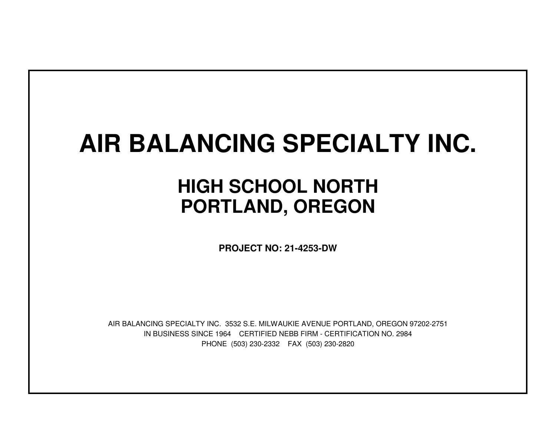## **AIR BALANCING SPECIALTY INC.**

## **HIGH SCHOOL NORTHPORTLAND, OREGON**

**PROJECT NO: 21-4253-DW**

IN BUSINESS SINCE 1964 CERTIFIED NEBB FIRM - CERTIFICATION NO. 2984PHONE (503) 230-2332 FAX (503) 230-2820AIR BALANCING SPECIALTY INC. 3532 S.E. MILWAUKIE AVENUE PORTLAND, OREGON 97202-2751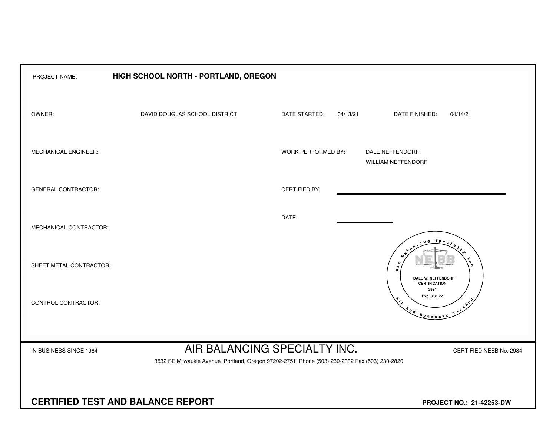| PROJECT NAME:                                                        | HIGH SCHOOL NORTH - PORTLAND, OREGON                                                                                         |                      |          |                                                                               |                         |  |  |  |  |  |  |
|----------------------------------------------------------------------|------------------------------------------------------------------------------------------------------------------------------|----------------------|----------|-------------------------------------------------------------------------------|-------------------------|--|--|--|--|--|--|
| OWNER:                                                               | DAVID DOUGLAS SCHOOL DISTRICT                                                                                                | DATE STARTED:        | 04/13/21 | DATE FINISHED:                                                                | 04/14/21                |  |  |  |  |  |  |
| MECHANICAL ENGINEER:                                                 |                                                                                                                              | WORK PERFORMED BY:   |          | DALE NEFFENDORF<br>WILLIAM NEFFENDORF                                         |                         |  |  |  |  |  |  |
| <b>GENERAL CONTRACTOR:</b>                                           |                                                                                                                              | <b>CERTIFIED BY:</b> |          |                                                                               |                         |  |  |  |  |  |  |
| MECHANICAL CONTRACTOR:                                               |                                                                                                                              | DATE:                |          |                                                                               |                         |  |  |  |  |  |  |
| SHEET METAL CONTRACTOR:                                              |                                                                                                                              |                      |          | $S_{PQ}$<br>$\mathbf{A}$<br><b>DALE W. NEFFENDORF</b><br><b>CERTIFICATION</b> | ັດ                      |  |  |  |  |  |  |
| CONTROL CONTRACTOR:                                                  |                                                                                                                              |                      |          | 2984<br>Exp. 3/31/22<br>and Hydronic                                          | $x^2$                   |  |  |  |  |  |  |
|                                                                      |                                                                                                                              |                      |          |                                                                               |                         |  |  |  |  |  |  |
| IN BUSINESS SINCE 1964                                               | AIR BALANCING SPECIALTY INC.<br>3532 SE Milwaukie Avenue Portland, Oregon 97202-2751 Phone (503) 230-2332 Fax (503) 230-2820 |                      |          |                                                                               | CERTIFIED NEBB No. 2984 |  |  |  |  |  |  |
|                                                                      |                                                                                                                              |                      |          |                                                                               |                         |  |  |  |  |  |  |
| <b>CERTIFIED TEST AND BALANCE REPORT</b><br>PROJECT NO.: 21-42253-DW |                                                                                                                              |                      |          |                                                                               |                         |  |  |  |  |  |  |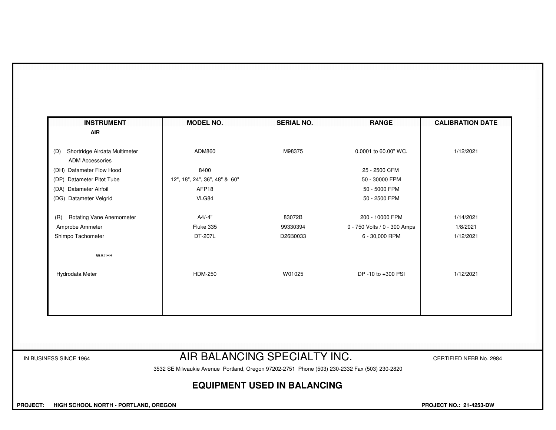| <b>INSTRUMENT</b>                                              | <b>MODEL NO.</b>              | <b>SERIAL NO.</b>            | <b>RANGE</b>                 | <b>CALIBRATION DATE</b> |  |  |  |  |  |  |  |
|----------------------------------------------------------------|-------------------------------|------------------------------|------------------------------|-------------------------|--|--|--|--|--|--|--|
| <b>AIR</b>                                                     |                               |                              |                              |                         |  |  |  |  |  |  |  |
| Shortridge Airdata Multimeter<br>(D)<br><b>ADM Accessories</b> | ADM860                        | M98375                       | 0.0001 to 60.00" WC.         | 1/12/2021               |  |  |  |  |  |  |  |
| (DH) Datameter Flow Hood                                       | 8400                          |                              | 25 - 2500 CFM                |                         |  |  |  |  |  |  |  |
| (DP) Datameter Pitot Tube                                      | 12", 18", 24", 36", 48" & 60" |                              | 50 - 30000 FPM               |                         |  |  |  |  |  |  |  |
| (DA) Datameter Airfoil                                         | AFP18                         |                              | 50 - 5000 FPM                |                         |  |  |  |  |  |  |  |
| (DG) Datameter Velgrid                                         | VLG84                         |                              | 50 - 2500 FPM                |                         |  |  |  |  |  |  |  |
| <b>Rotating Vane Anemometer</b><br>(R)                         | $A4/-4"$                      | 83072B                       | 200 - 10000 FPM              | 1/14/2021               |  |  |  |  |  |  |  |
| Amprobe Ammeter                                                | Fluke 335                     | 99330394                     | 0 - 750 Volts / 0 - 300 Amps | 1/8/2021                |  |  |  |  |  |  |  |
| Shimpo Tachometer                                              | DT-207L                       | D26B0033                     | 6 - 30,000 RPM               | 1/12/2021               |  |  |  |  |  |  |  |
| WATER                                                          |                               |                              |                              |                         |  |  |  |  |  |  |  |
| Hydrodata Meter                                                | <b>HDM-250</b>                | W01025                       | DP -10 to +300 PSI           | 1/12/2021               |  |  |  |  |  |  |  |
|                                                                |                               |                              |                              |                         |  |  |  |  |  |  |  |
|                                                                |                               |                              |                              |                         |  |  |  |  |  |  |  |
|                                                                |                               |                              |                              |                         |  |  |  |  |  |  |  |
|                                                                |                               |                              |                              |                         |  |  |  |  |  |  |  |
| IN BUSINESS SINCE 1964                                         |                               | AIR BALANCING SPECIALTY INC. |                              |                         |  |  |  |  |  |  |  |

3532 SE Milwaukie Avenue Portland, Oregon 97202-2751 Phone (503) 230-2332 Fax (503) 230-2820

## **EQUIPMENT USED IN BALANCING**

 **PROJECT: HIGH SCHOOL NORTH - PORTLAND, OREGON PROJECT NO.: 21-4253-DW**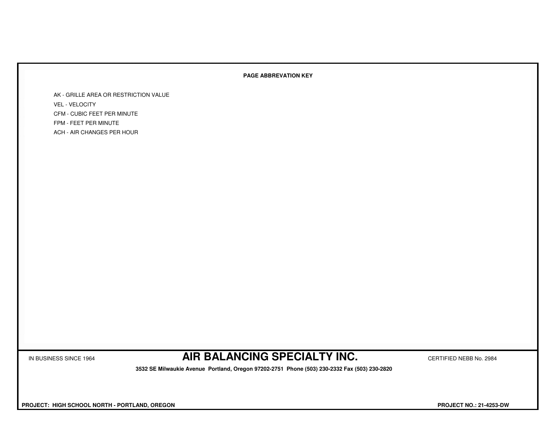## **PAGE ABBREVATION KEY**

AK - GRILLE AREA OR RESTRICTION VALUEVEL - VELOCITY CFM - CUBIC FEET PER MINUTEFPM - FEET PER MINUTEACH - AIR CHANGES PER HOUR

IN BUSINESS SINCE 1964 **AIR BALANCING SPECIALTY INC.** CERTIFIED NEBB No. 2984

 **3532 SE Milwaukie Avenue Portland, Oregon 97202-2751 Phone (503) 230-2332 Fax (503) 230-2820**

 **PROJECT: HIGH SCHOOL NORTH - PORTLAND, OREGON PROJECT NO.: 21-4253-DW**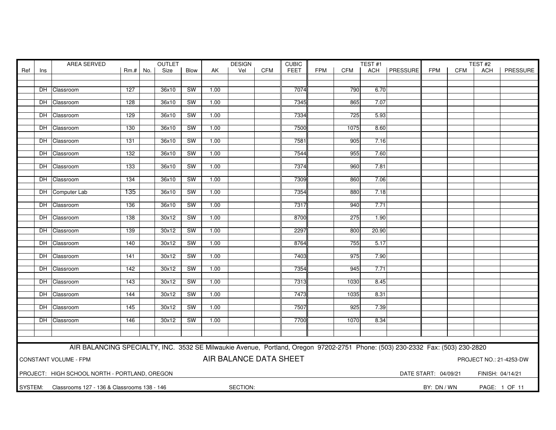| Ref<br>Size<br><b>Blow</b><br><b>CFM</b><br><b>FEET</b><br><b>FPM</b><br><b>CFM</b><br>ACH   PRESSURE<br><b>FPM</b><br>PRESSURE<br>$Rm.+No.$<br>AK<br>Vel<br>CFM<br>ACH<br>Ins<br>7074<br>127<br><b>SW</b><br>1.00<br>790<br>6.70<br>DH Classroom<br>36x10<br>128<br>36x10<br>SW<br>1.00<br>7345<br>865<br>7.07<br>DH Classroom<br>DH Classroom<br>129<br>36x10<br>SW<br>1.00<br>7334<br>725<br>5.93<br>7500<br>DH Classroom<br><b>SW</b><br>1.00<br>1075<br>8.60<br>130<br>36x10<br>SW<br>1.00<br>7581<br>905<br>7.16<br>DH Classroom<br>131<br>36x10<br>DH Classroom<br>132<br>36x10<br><b>SW</b><br>1.00<br>7544<br>955<br>7.60<br>7374<br>DH Classroom<br>133<br>36x10<br>SW<br>1.00<br>960<br>7.81<br>36x10<br>SW<br>1.00<br>7309<br>860<br>7.06<br>DH Classroom<br>134<br>DH Computer Lab<br>135<br><b>SW</b><br>7354<br>36x10<br>1.00<br>880<br>7.18<br>7317<br>7.71<br>DH Classroom<br>136<br>36x10<br>SW<br>1.00<br>940<br>DH Classroom<br>138<br>30x12<br><b>SW</b><br>1.00<br>8700<br>275<br>1.90<br>30x12<br><b>SW</b><br>1.00<br>2297<br>800<br>DH Classroom<br>139<br>20.90<br>DH Classroom<br>30x12<br>SW<br>1.00<br>8764<br>755<br>5.17<br>140<br>DH Classroom<br><b>SW</b><br>7403<br>7.90<br>141<br>30x12<br>1.00<br>975<br>7354<br>7.71<br>DH Classroom<br>142<br>30x12<br>SW<br>1.00<br>945<br>SW<br>DH Classroom<br>30x12<br>1.00<br>7313<br>1030<br>8.45<br>143<br>SW<br>7473<br>DH Classroom<br>30x12<br>1.00<br>1035<br>8.31<br>144<br>7507<br>145<br>30x12<br>SW<br>1.00<br>925<br>7.39<br>DH Classroom<br>DH Classroom<br>146<br>30x12<br>SW<br>1.00<br>7700<br>1070<br>8.34<br>AIR BALANCING SPECIALTY, INC. 3532 SE Milwaukie Avenue, Portland, Oregon 97202-2751 Phone: (503) 230-2332 Fax: (503) 230-2820<br>AIR BALANCE DATA SHEET<br><b>CONSTANT VOLUME - FPM</b><br>PROJECT NO.: 21-4253-DW<br>PROJECT: HIGH SCHOOL NORTH - PORTLAND, OREGON<br>DATE START: 04/09/21<br>FINISH: 04/14/21<br>SYSTEM:<br>SECTION:<br>Classrooms 127 - 136 & Classrooms 138 - 146<br>BY: DN / WN<br>PAGE: 1 OF 11 | AREA SERVED |  |  | <b>OUTLET</b> |  | <b>DESIGN</b> |  | <b>CUBIC</b> |  |  | TEST#1 |  |  | TEST#2 |  |  |  |
|---------------------------------------------------------------------------------------------------------------------------------------------------------------------------------------------------------------------------------------------------------------------------------------------------------------------------------------------------------------------------------------------------------------------------------------------------------------------------------------------------------------------------------------------------------------------------------------------------------------------------------------------------------------------------------------------------------------------------------------------------------------------------------------------------------------------------------------------------------------------------------------------------------------------------------------------------------------------------------------------------------------------------------------------------------------------------------------------------------------------------------------------------------------------------------------------------------------------------------------------------------------------------------------------------------------------------------------------------------------------------------------------------------------------------------------------------------------------------------------------------------------------------------------------------------------------------------------------------------------------------------------------------------------------------------------------------------------------------------------------------------------------------------------------------------------------------------------------------------------------------------------------------------------------------------------------------------------------------------------------------------------------------------|-------------|--|--|---------------|--|---------------|--|--------------|--|--|--------|--|--|--------|--|--|--|
|                                                                                                                                                                                                                                                                                                                                                                                                                                                                                                                                                                                                                                                                                                                                                                                                                                                                                                                                                                                                                                                                                                                                                                                                                                                                                                                                                                                                                                                                                                                                                                                                                                                                                                                                                                                                                                                                                                                                                                                                                                 |             |  |  |               |  |               |  |              |  |  |        |  |  |        |  |  |  |
|                                                                                                                                                                                                                                                                                                                                                                                                                                                                                                                                                                                                                                                                                                                                                                                                                                                                                                                                                                                                                                                                                                                                                                                                                                                                                                                                                                                                                                                                                                                                                                                                                                                                                                                                                                                                                                                                                                                                                                                                                                 |             |  |  |               |  |               |  |              |  |  |        |  |  |        |  |  |  |
|                                                                                                                                                                                                                                                                                                                                                                                                                                                                                                                                                                                                                                                                                                                                                                                                                                                                                                                                                                                                                                                                                                                                                                                                                                                                                                                                                                                                                                                                                                                                                                                                                                                                                                                                                                                                                                                                                                                                                                                                                                 |             |  |  |               |  |               |  |              |  |  |        |  |  |        |  |  |  |
|                                                                                                                                                                                                                                                                                                                                                                                                                                                                                                                                                                                                                                                                                                                                                                                                                                                                                                                                                                                                                                                                                                                                                                                                                                                                                                                                                                                                                                                                                                                                                                                                                                                                                                                                                                                                                                                                                                                                                                                                                                 |             |  |  |               |  |               |  |              |  |  |        |  |  |        |  |  |  |
|                                                                                                                                                                                                                                                                                                                                                                                                                                                                                                                                                                                                                                                                                                                                                                                                                                                                                                                                                                                                                                                                                                                                                                                                                                                                                                                                                                                                                                                                                                                                                                                                                                                                                                                                                                                                                                                                                                                                                                                                                                 |             |  |  |               |  |               |  |              |  |  |        |  |  |        |  |  |  |
|                                                                                                                                                                                                                                                                                                                                                                                                                                                                                                                                                                                                                                                                                                                                                                                                                                                                                                                                                                                                                                                                                                                                                                                                                                                                                                                                                                                                                                                                                                                                                                                                                                                                                                                                                                                                                                                                                                                                                                                                                                 |             |  |  |               |  |               |  |              |  |  |        |  |  |        |  |  |  |
|                                                                                                                                                                                                                                                                                                                                                                                                                                                                                                                                                                                                                                                                                                                                                                                                                                                                                                                                                                                                                                                                                                                                                                                                                                                                                                                                                                                                                                                                                                                                                                                                                                                                                                                                                                                                                                                                                                                                                                                                                                 |             |  |  |               |  |               |  |              |  |  |        |  |  |        |  |  |  |
|                                                                                                                                                                                                                                                                                                                                                                                                                                                                                                                                                                                                                                                                                                                                                                                                                                                                                                                                                                                                                                                                                                                                                                                                                                                                                                                                                                                                                                                                                                                                                                                                                                                                                                                                                                                                                                                                                                                                                                                                                                 |             |  |  |               |  |               |  |              |  |  |        |  |  |        |  |  |  |
|                                                                                                                                                                                                                                                                                                                                                                                                                                                                                                                                                                                                                                                                                                                                                                                                                                                                                                                                                                                                                                                                                                                                                                                                                                                                                                                                                                                                                                                                                                                                                                                                                                                                                                                                                                                                                                                                                                                                                                                                                                 |             |  |  |               |  |               |  |              |  |  |        |  |  |        |  |  |  |
|                                                                                                                                                                                                                                                                                                                                                                                                                                                                                                                                                                                                                                                                                                                                                                                                                                                                                                                                                                                                                                                                                                                                                                                                                                                                                                                                                                                                                                                                                                                                                                                                                                                                                                                                                                                                                                                                                                                                                                                                                                 |             |  |  |               |  |               |  |              |  |  |        |  |  |        |  |  |  |
|                                                                                                                                                                                                                                                                                                                                                                                                                                                                                                                                                                                                                                                                                                                                                                                                                                                                                                                                                                                                                                                                                                                                                                                                                                                                                                                                                                                                                                                                                                                                                                                                                                                                                                                                                                                                                                                                                                                                                                                                                                 |             |  |  |               |  |               |  |              |  |  |        |  |  |        |  |  |  |
|                                                                                                                                                                                                                                                                                                                                                                                                                                                                                                                                                                                                                                                                                                                                                                                                                                                                                                                                                                                                                                                                                                                                                                                                                                                                                                                                                                                                                                                                                                                                                                                                                                                                                                                                                                                                                                                                                                                                                                                                                                 |             |  |  |               |  |               |  |              |  |  |        |  |  |        |  |  |  |
|                                                                                                                                                                                                                                                                                                                                                                                                                                                                                                                                                                                                                                                                                                                                                                                                                                                                                                                                                                                                                                                                                                                                                                                                                                                                                                                                                                                                                                                                                                                                                                                                                                                                                                                                                                                                                                                                                                                                                                                                                                 |             |  |  |               |  |               |  |              |  |  |        |  |  |        |  |  |  |
|                                                                                                                                                                                                                                                                                                                                                                                                                                                                                                                                                                                                                                                                                                                                                                                                                                                                                                                                                                                                                                                                                                                                                                                                                                                                                                                                                                                                                                                                                                                                                                                                                                                                                                                                                                                                                                                                                                                                                                                                                                 |             |  |  |               |  |               |  |              |  |  |        |  |  |        |  |  |  |
|                                                                                                                                                                                                                                                                                                                                                                                                                                                                                                                                                                                                                                                                                                                                                                                                                                                                                                                                                                                                                                                                                                                                                                                                                                                                                                                                                                                                                                                                                                                                                                                                                                                                                                                                                                                                                                                                                                                                                                                                                                 |             |  |  |               |  |               |  |              |  |  |        |  |  |        |  |  |  |
|                                                                                                                                                                                                                                                                                                                                                                                                                                                                                                                                                                                                                                                                                                                                                                                                                                                                                                                                                                                                                                                                                                                                                                                                                                                                                                                                                                                                                                                                                                                                                                                                                                                                                                                                                                                                                                                                                                                                                                                                                                 |             |  |  |               |  |               |  |              |  |  |        |  |  |        |  |  |  |
|                                                                                                                                                                                                                                                                                                                                                                                                                                                                                                                                                                                                                                                                                                                                                                                                                                                                                                                                                                                                                                                                                                                                                                                                                                                                                                                                                                                                                                                                                                                                                                                                                                                                                                                                                                                                                                                                                                                                                                                                                                 |             |  |  |               |  |               |  |              |  |  |        |  |  |        |  |  |  |
|                                                                                                                                                                                                                                                                                                                                                                                                                                                                                                                                                                                                                                                                                                                                                                                                                                                                                                                                                                                                                                                                                                                                                                                                                                                                                                                                                                                                                                                                                                                                                                                                                                                                                                                                                                                                                                                                                                                                                                                                                                 |             |  |  |               |  |               |  |              |  |  |        |  |  |        |  |  |  |
|                                                                                                                                                                                                                                                                                                                                                                                                                                                                                                                                                                                                                                                                                                                                                                                                                                                                                                                                                                                                                                                                                                                                                                                                                                                                                                                                                                                                                                                                                                                                                                                                                                                                                                                                                                                                                                                                                                                                                                                                                                 |             |  |  |               |  |               |  |              |  |  |        |  |  |        |  |  |  |
|                                                                                                                                                                                                                                                                                                                                                                                                                                                                                                                                                                                                                                                                                                                                                                                                                                                                                                                                                                                                                                                                                                                                                                                                                                                                                                                                                                                                                                                                                                                                                                                                                                                                                                                                                                                                                                                                                                                                                                                                                                 |             |  |  |               |  |               |  |              |  |  |        |  |  |        |  |  |  |
|                                                                                                                                                                                                                                                                                                                                                                                                                                                                                                                                                                                                                                                                                                                                                                                                                                                                                                                                                                                                                                                                                                                                                                                                                                                                                                                                                                                                                                                                                                                                                                                                                                                                                                                                                                                                                                                                                                                                                                                                                                 |             |  |  |               |  |               |  |              |  |  |        |  |  |        |  |  |  |
|                                                                                                                                                                                                                                                                                                                                                                                                                                                                                                                                                                                                                                                                                                                                                                                                                                                                                                                                                                                                                                                                                                                                                                                                                                                                                                                                                                                                                                                                                                                                                                                                                                                                                                                                                                                                                                                                                                                                                                                                                                 |             |  |  |               |  |               |  |              |  |  |        |  |  |        |  |  |  |
|                                                                                                                                                                                                                                                                                                                                                                                                                                                                                                                                                                                                                                                                                                                                                                                                                                                                                                                                                                                                                                                                                                                                                                                                                                                                                                                                                                                                                                                                                                                                                                                                                                                                                                                                                                                                                                                                                                                                                                                                                                 |             |  |  |               |  |               |  |              |  |  |        |  |  |        |  |  |  |
|                                                                                                                                                                                                                                                                                                                                                                                                                                                                                                                                                                                                                                                                                                                                                                                                                                                                                                                                                                                                                                                                                                                                                                                                                                                                                                                                                                                                                                                                                                                                                                                                                                                                                                                                                                                                                                                                                                                                                                                                                                 |             |  |  |               |  |               |  |              |  |  |        |  |  |        |  |  |  |
|                                                                                                                                                                                                                                                                                                                                                                                                                                                                                                                                                                                                                                                                                                                                                                                                                                                                                                                                                                                                                                                                                                                                                                                                                                                                                                                                                                                                                                                                                                                                                                                                                                                                                                                                                                                                                                                                                                                                                                                                                                 |             |  |  |               |  |               |  |              |  |  |        |  |  |        |  |  |  |
|                                                                                                                                                                                                                                                                                                                                                                                                                                                                                                                                                                                                                                                                                                                                                                                                                                                                                                                                                                                                                                                                                                                                                                                                                                                                                                                                                                                                                                                                                                                                                                                                                                                                                                                                                                                                                                                                                                                                                                                                                                 |             |  |  |               |  |               |  |              |  |  |        |  |  |        |  |  |  |
|                                                                                                                                                                                                                                                                                                                                                                                                                                                                                                                                                                                                                                                                                                                                                                                                                                                                                                                                                                                                                                                                                                                                                                                                                                                                                                                                                                                                                                                                                                                                                                                                                                                                                                                                                                                                                                                                                                                                                                                                                                 |             |  |  |               |  |               |  |              |  |  |        |  |  |        |  |  |  |
|                                                                                                                                                                                                                                                                                                                                                                                                                                                                                                                                                                                                                                                                                                                                                                                                                                                                                                                                                                                                                                                                                                                                                                                                                                                                                                                                                                                                                                                                                                                                                                                                                                                                                                                                                                                                                                                                                                                                                                                                                                 |             |  |  |               |  |               |  |              |  |  |        |  |  |        |  |  |  |
|                                                                                                                                                                                                                                                                                                                                                                                                                                                                                                                                                                                                                                                                                                                                                                                                                                                                                                                                                                                                                                                                                                                                                                                                                                                                                                                                                                                                                                                                                                                                                                                                                                                                                                                                                                                                                                                                                                                                                                                                                                 |             |  |  |               |  |               |  |              |  |  |        |  |  |        |  |  |  |
|                                                                                                                                                                                                                                                                                                                                                                                                                                                                                                                                                                                                                                                                                                                                                                                                                                                                                                                                                                                                                                                                                                                                                                                                                                                                                                                                                                                                                                                                                                                                                                                                                                                                                                                                                                                                                                                                                                                                                                                                                                 |             |  |  |               |  |               |  |              |  |  |        |  |  |        |  |  |  |
|                                                                                                                                                                                                                                                                                                                                                                                                                                                                                                                                                                                                                                                                                                                                                                                                                                                                                                                                                                                                                                                                                                                                                                                                                                                                                                                                                                                                                                                                                                                                                                                                                                                                                                                                                                                                                                                                                                                                                                                                                                 |             |  |  |               |  |               |  |              |  |  |        |  |  |        |  |  |  |
|                                                                                                                                                                                                                                                                                                                                                                                                                                                                                                                                                                                                                                                                                                                                                                                                                                                                                                                                                                                                                                                                                                                                                                                                                                                                                                                                                                                                                                                                                                                                                                                                                                                                                                                                                                                                                                                                                                                                                                                                                                 |             |  |  |               |  |               |  |              |  |  |        |  |  |        |  |  |  |
|                                                                                                                                                                                                                                                                                                                                                                                                                                                                                                                                                                                                                                                                                                                                                                                                                                                                                                                                                                                                                                                                                                                                                                                                                                                                                                                                                                                                                                                                                                                                                                                                                                                                                                                                                                                                                                                                                                                                                                                                                                 |             |  |  |               |  |               |  |              |  |  |        |  |  |        |  |  |  |
|                                                                                                                                                                                                                                                                                                                                                                                                                                                                                                                                                                                                                                                                                                                                                                                                                                                                                                                                                                                                                                                                                                                                                                                                                                                                                                                                                                                                                                                                                                                                                                                                                                                                                                                                                                                                                                                                                                                                                                                                                                 |             |  |  |               |  |               |  |              |  |  |        |  |  |        |  |  |  |
|                                                                                                                                                                                                                                                                                                                                                                                                                                                                                                                                                                                                                                                                                                                                                                                                                                                                                                                                                                                                                                                                                                                                                                                                                                                                                                                                                                                                                                                                                                                                                                                                                                                                                                                                                                                                                                                                                                                                                                                                                                 |             |  |  |               |  |               |  |              |  |  |        |  |  |        |  |  |  |
|                                                                                                                                                                                                                                                                                                                                                                                                                                                                                                                                                                                                                                                                                                                                                                                                                                                                                                                                                                                                                                                                                                                                                                                                                                                                                                                                                                                                                                                                                                                                                                                                                                                                                                                                                                                                                                                                                                                                                                                                                                 |             |  |  |               |  |               |  |              |  |  |        |  |  |        |  |  |  |
|                                                                                                                                                                                                                                                                                                                                                                                                                                                                                                                                                                                                                                                                                                                                                                                                                                                                                                                                                                                                                                                                                                                                                                                                                                                                                                                                                                                                                                                                                                                                                                                                                                                                                                                                                                                                                                                                                                                                                                                                                                 |             |  |  |               |  |               |  |              |  |  |        |  |  |        |  |  |  |
|                                                                                                                                                                                                                                                                                                                                                                                                                                                                                                                                                                                                                                                                                                                                                                                                                                                                                                                                                                                                                                                                                                                                                                                                                                                                                                                                                                                                                                                                                                                                                                                                                                                                                                                                                                                                                                                                                                                                                                                                                                 |             |  |  |               |  |               |  |              |  |  |        |  |  |        |  |  |  |
|                                                                                                                                                                                                                                                                                                                                                                                                                                                                                                                                                                                                                                                                                                                                                                                                                                                                                                                                                                                                                                                                                                                                                                                                                                                                                                                                                                                                                                                                                                                                                                                                                                                                                                                                                                                                                                                                                                                                                                                                                                 |             |  |  |               |  |               |  |              |  |  |        |  |  |        |  |  |  |
|                                                                                                                                                                                                                                                                                                                                                                                                                                                                                                                                                                                                                                                                                                                                                                                                                                                                                                                                                                                                                                                                                                                                                                                                                                                                                                                                                                                                                                                                                                                                                                                                                                                                                                                                                                                                                                                                                                                                                                                                                                 |             |  |  |               |  |               |  |              |  |  |        |  |  |        |  |  |  |
|                                                                                                                                                                                                                                                                                                                                                                                                                                                                                                                                                                                                                                                                                                                                                                                                                                                                                                                                                                                                                                                                                                                                                                                                                                                                                                                                                                                                                                                                                                                                                                                                                                                                                                                                                                                                                                                                                                                                                                                                                                 |             |  |  |               |  |               |  |              |  |  |        |  |  |        |  |  |  |
|                                                                                                                                                                                                                                                                                                                                                                                                                                                                                                                                                                                                                                                                                                                                                                                                                                                                                                                                                                                                                                                                                                                                                                                                                                                                                                                                                                                                                                                                                                                                                                                                                                                                                                                                                                                                                                                                                                                                                                                                                                 |             |  |  |               |  |               |  |              |  |  |        |  |  |        |  |  |  |
|                                                                                                                                                                                                                                                                                                                                                                                                                                                                                                                                                                                                                                                                                                                                                                                                                                                                                                                                                                                                                                                                                                                                                                                                                                                                                                                                                                                                                                                                                                                                                                                                                                                                                                                                                                                                                                                                                                                                                                                                                                 |             |  |  |               |  |               |  |              |  |  |        |  |  |        |  |  |  |
|                                                                                                                                                                                                                                                                                                                                                                                                                                                                                                                                                                                                                                                                                                                                                                                                                                                                                                                                                                                                                                                                                                                                                                                                                                                                                                                                                                                                                                                                                                                                                                                                                                                                                                                                                                                                                                                                                                                                                                                                                                 |             |  |  |               |  |               |  |              |  |  |        |  |  |        |  |  |  |
|                                                                                                                                                                                                                                                                                                                                                                                                                                                                                                                                                                                                                                                                                                                                                                                                                                                                                                                                                                                                                                                                                                                                                                                                                                                                                                                                                                                                                                                                                                                                                                                                                                                                                                                                                                                                                                                                                                                                                                                                                                 |             |  |  |               |  |               |  |              |  |  |        |  |  |        |  |  |  |
|                                                                                                                                                                                                                                                                                                                                                                                                                                                                                                                                                                                                                                                                                                                                                                                                                                                                                                                                                                                                                                                                                                                                                                                                                                                                                                                                                                                                                                                                                                                                                                                                                                                                                                                                                                                                                                                                                                                                                                                                                                 |             |  |  |               |  |               |  |              |  |  |        |  |  |        |  |  |  |
|                                                                                                                                                                                                                                                                                                                                                                                                                                                                                                                                                                                                                                                                                                                                                                                                                                                                                                                                                                                                                                                                                                                                                                                                                                                                                                                                                                                                                                                                                                                                                                                                                                                                                                                                                                                                                                                                                                                                                                                                                                 |             |  |  |               |  |               |  |              |  |  |        |  |  |        |  |  |  |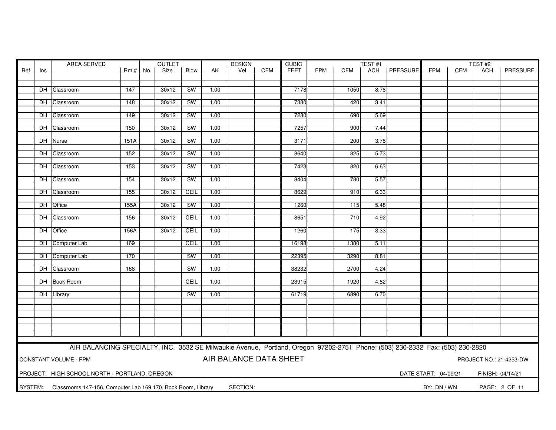|         | AREA SERVED<br><b>OUTLET</b>                                                              |                                                                                                                               |            |  |             | <b>DESIGN</b><br><b>CUBIC</b> |      |          |            |             | TEST#1     |            |      |                | TEST#2      |            |     |               |
|---------|-------------------------------------------------------------------------------------------|-------------------------------------------------------------------------------------------------------------------------------|------------|--|-------------|-------------------------------|------|----------|------------|-------------|------------|------------|------|----------------|-------------|------------|-----|---------------|
| Ref     | Ins                                                                                       |                                                                                                                               | $Rm.+$ No. |  | <b>Size</b> | Blow                          | AK   | Vel      | <b>CFM</b> | <b>FEET</b> | <b>FPM</b> | <b>CFM</b> |      | ACH   PRESSURE | <b>FPM</b>  | <b>CFM</b> | ACH | PRESSURE      |
|         |                                                                                           |                                                                                                                               |            |  |             |                               |      |          |            |             |            |            |      |                |             |            |     |               |
|         |                                                                                           |                                                                                                                               |            |  |             |                               |      |          |            |             |            |            |      |                |             |            |     |               |
|         | DH I                                                                                      | Classroom                                                                                                                     | 147        |  | 30x12       | <b>SW</b>                     | 1.00 |          |            | 7178        |            | 1050       | 8.78 |                |             |            |     |               |
|         |                                                                                           |                                                                                                                               |            |  |             |                               |      |          |            |             |            |            |      |                |             |            |     |               |
|         |                                                                                           | DH Classroom                                                                                                                  | 148        |  | 30x12       | <b>SW</b>                     | 1.00 |          |            | 7380        |            | 420        | 3.41 |                |             |            |     |               |
|         |                                                                                           |                                                                                                                               |            |  |             |                               |      |          |            |             |            |            |      |                |             |            |     |               |
|         |                                                                                           | DH Classroom                                                                                                                  | 149        |  | 30x12       | <b>SW</b>                     | 1.00 |          |            | 7280        |            | 690        | 5.69 |                |             |            |     |               |
|         |                                                                                           |                                                                                                                               |            |  |             |                               |      |          |            |             |            |            |      |                |             |            |     |               |
|         |                                                                                           | DH Classroom                                                                                                                  | 150        |  | 30x12       | SW                            | 1.00 |          |            | 7257        |            | 900        | 7.44 |                |             |            |     |               |
|         |                                                                                           |                                                                                                                               |            |  | 30x12       | SW                            | 1.00 |          |            | 3171        |            | 200        | 3.78 |                |             |            |     |               |
|         |                                                                                           | DH Nurse                                                                                                                      | 151A       |  |             |                               |      |          |            |             |            |            |      |                |             |            |     |               |
|         |                                                                                           | DH Classroom                                                                                                                  | 152        |  | 30x12       | <b>SW</b>                     | 1.00 |          |            | 8640        |            | 825        | 5.73 |                |             |            |     |               |
|         |                                                                                           |                                                                                                                               |            |  |             |                               |      |          |            |             |            |            |      |                |             |            |     |               |
|         |                                                                                           | DH Classroom                                                                                                                  | 153        |  | 30x12       | <b>SW</b>                     | 1.00 |          |            | 7423        |            | 820        | 6.63 |                |             |            |     |               |
|         |                                                                                           |                                                                                                                               |            |  |             |                               |      |          |            |             |            |            |      |                |             |            |     |               |
|         |                                                                                           | DH Classroom                                                                                                                  | 154        |  | 30x12       | <b>SW</b>                     | 1.00 |          |            | 8404        |            | 780        | 5.57 |                |             |            |     |               |
|         |                                                                                           |                                                                                                                               |            |  |             |                               |      |          |            |             |            |            |      |                |             |            |     |               |
|         |                                                                                           | DH Classroom                                                                                                                  | 155        |  | 30x12       | <b>CEIL</b>                   | 1.00 |          |            | 8629        |            | 910        | 6.33 |                |             |            |     |               |
|         |                                                                                           |                                                                                                                               |            |  |             |                               |      |          |            |             |            |            |      |                |             |            |     |               |
|         |                                                                                           | DH Office                                                                                                                     | 155A       |  | 30x12       | SW                            | 1.00 |          |            | 1260        |            | 115        | 5.48 |                |             |            |     |               |
|         |                                                                                           |                                                                                                                               |            |  |             |                               |      |          |            |             |            |            |      |                |             |            |     |               |
|         |                                                                                           | DH Classroom                                                                                                                  | 156        |  | 30x12       | CEIL                          | 1.00 |          |            | 8651        |            | 710        | 4.92 |                |             |            |     |               |
|         |                                                                                           |                                                                                                                               |            |  |             |                               |      |          |            |             |            |            |      |                |             |            |     |               |
|         |                                                                                           | DH Office                                                                                                                     | 156A       |  | 30x12       | CEIL                          | 1.00 |          |            | 1260        |            | 175        | 8.33 |                |             |            |     |               |
|         |                                                                                           |                                                                                                                               |            |  |             |                               |      |          |            |             |            |            |      |                |             |            |     |               |
|         |                                                                                           | DH Computer Lab                                                                                                               | 169        |  |             | CEIL                          | 1.00 |          |            | 16198       |            | 1380       | 5.11 |                |             |            |     |               |
|         |                                                                                           |                                                                                                                               |            |  |             |                               |      |          |            |             |            |            |      |                |             |            |     |               |
|         |                                                                                           | DH Computer Lab                                                                                                               | 170        |  |             | <b>SW</b>                     | 1.00 |          |            | 22395       |            | 3290       | 8.81 |                |             |            |     |               |
|         |                                                                                           |                                                                                                                               |            |  |             |                               |      |          |            |             |            |            |      |                |             |            |     |               |
|         |                                                                                           | DH Classroom                                                                                                                  | 168        |  |             | SW                            | 1.00 |          |            | 38232       |            | 2700       | 4.24 |                |             |            |     |               |
|         |                                                                                           |                                                                                                                               |            |  |             |                               |      |          |            |             |            |            |      |                |             |            |     |               |
|         |                                                                                           | DH Book Room                                                                                                                  |            |  |             | CEIL                          | 1.00 |          |            | 23915       |            | 1920       | 4.82 |                |             |            |     |               |
|         |                                                                                           |                                                                                                                               |            |  |             |                               |      |          |            |             |            |            |      |                |             |            |     |               |
|         |                                                                                           | DH Library                                                                                                                    |            |  |             | <b>SW</b>                     | 1.00 |          |            | 61719       |            | 6890       | 6.70 |                |             |            |     |               |
|         |                                                                                           |                                                                                                                               |            |  |             |                               |      |          |            |             |            |            |      |                |             |            |     |               |
|         |                                                                                           |                                                                                                                               |            |  |             |                               |      |          |            |             |            |            |      |                |             |            |     |               |
|         |                                                                                           |                                                                                                                               |            |  |             |                               |      |          |            |             |            |            |      |                |             |            |     |               |
|         |                                                                                           |                                                                                                                               |            |  |             |                               |      |          |            |             |            |            |      |                |             |            |     |               |
|         |                                                                                           |                                                                                                                               |            |  |             |                               |      |          |            |             |            |            |      |                |             |            |     |               |
|         |                                                                                           |                                                                                                                               |            |  |             |                               |      |          |            |             |            |            |      |                |             |            |     |               |
|         |                                                                                           |                                                                                                                               |            |  |             |                               |      |          |            |             |            |            |      |                |             |            |     |               |
|         |                                                                                           | AIR BALANCING SPECIALTY, INC. 3532 SE Milwaukie Avenue, Portland, Oregon 97202-2751 Phone: (503) 230-2332 Fax: (503) 230-2820 |            |  |             |                               |      |          |            |             |            |            |      |                |             |            |     |               |
|         |                                                                                           |                                                                                                                               |            |  |             |                               |      |          |            |             |            |            |      |                |             |            |     |               |
|         | AIR BALANCE DATA SHEET<br>CONSTANT VOLUME - FPM<br>PROJECT NO.: 21-4253-DW                |                                                                                                                               |            |  |             |                               |      |          |            |             |            |            |      |                |             |            |     |               |
|         |                                                                                           |                                                                                                                               |            |  |             |                               |      |          |            |             |            |            |      |                |             |            |     |               |
|         | PROJECT: HIGH SCHOOL NORTH - PORTLAND, OREGON<br>DATE START: 04/09/21<br>FINISH: 04/14/21 |                                                                                                                               |            |  |             |                               |      |          |            |             |            |            |      |                |             |            |     |               |
|         |                                                                                           |                                                                                                                               |            |  |             |                               |      |          |            |             |            |            |      |                |             |            |     |               |
| SYSTEM: |                                                                                           | Classrooms 147-156, Computer Lab 169,170, Book Room, Library                                                                  |            |  |             |                               |      | SECTION: |            |             |            |            |      |                | BY: DN / WN |            |     | PAGE: 2 OF 11 |
|         |                                                                                           |                                                                                                                               |            |  |             |                               |      |          |            |             |            |            |      |                |             |            |     |               |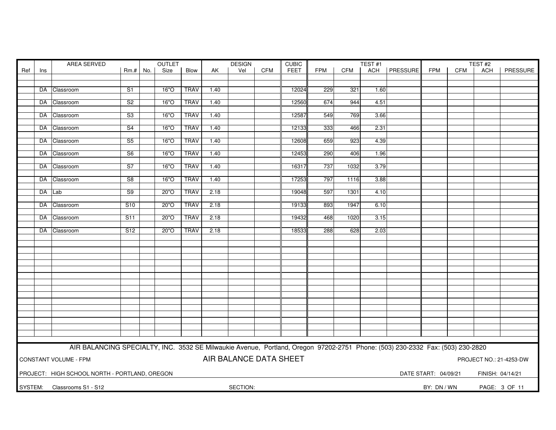| OUTLET<br>AREA SERVED |                                                                                           |                                                                                                                               |                          |  |      |             | <b>DESIGN</b> |                        | <b>CUBIC</b> | TEST#1      |     |            |      | TEST#2         |             |     |     |                         |
|-----------------------|-------------------------------------------------------------------------------------------|-------------------------------------------------------------------------------------------------------------------------------|--------------------------|--|------|-------------|---------------|------------------------|--------------|-------------|-----|------------|------|----------------|-------------|-----|-----|-------------------------|
| Ref                   | Ins                                                                                       |                                                                                                                               | $Rm.+No.$                |  | Size | Blow        | AK            | Vel                    | <b>CFM</b>   | <b>FEET</b> | FPM | <b>CFM</b> |      | ACH   PRESSURE | <b>FPM</b>  | CFM | ACH | PRESSURE                |
|                       |                                                                                           |                                                                                                                               |                          |  |      |             |               |                        |              |             |     |            |      |                |             |     |     |                         |
|                       |                                                                                           | DA Classroom                                                                                                                  | S1                       |  | 16"O | <b>TRAV</b> | 1.40          |                        |              | 12024       | 229 | 321        | 1.60 |                |             |     |     |                         |
|                       |                                                                                           |                                                                                                                               |                          |  |      |             |               |                        |              |             |     |            |      |                |             |     |     |                         |
|                       |                                                                                           | DA Classroom                                                                                                                  | S <sub>2</sub>           |  | 16"O | <b>TRAV</b> | 1.40          |                        |              | 12560       | 674 | 944        | 4.51 |                |             |     |     |                         |
|                       |                                                                                           |                                                                                                                               |                          |  |      |             |               |                        |              |             |     |            |      |                |             |     |     |                         |
|                       |                                                                                           | DA Classroom                                                                                                                  | S3                       |  | 16"O | <b>TRAV</b> | 1.40          |                        |              | 12587       | 549 | 769        | 3.66 |                |             |     |     |                         |
|                       |                                                                                           |                                                                                                                               |                          |  |      |             |               |                        |              |             |     |            |      |                |             |     |     |                         |
|                       |                                                                                           | DA Classroom                                                                                                                  | $\overline{\mathsf{S}4}$ |  | 16"O | <b>TRAV</b> | 1.40          |                        |              | 12133       | 333 | 466        | 2.31 |                |             |     |     |                         |
|                       |                                                                                           | DA Classroom                                                                                                                  | S <sub>5</sub>           |  | 16"O | <b>TRAV</b> | 1.40          |                        |              | 12608       | 659 | 923        | 4.39 |                |             |     |     |                         |
|                       |                                                                                           |                                                                                                                               |                          |  |      |             |               |                        |              |             |     |            |      |                |             |     |     |                         |
|                       |                                                                                           | DA Classroom                                                                                                                  | S6                       |  | 16"O | <b>TRAV</b> | 1.40          |                        |              | 12453       | 290 | 406        | 1.96 |                |             |     |     |                         |
|                       |                                                                                           |                                                                                                                               |                          |  |      |             |               |                        |              |             |     |            |      |                |             |     |     |                         |
|                       |                                                                                           | DA Classroom                                                                                                                  | S <sub>7</sub>           |  | 16"O | <b>TRAV</b> | 1.40          |                        |              | 16317       | 737 | 1032       | 3.79 |                |             |     |     |                         |
|                       |                                                                                           | DA Classroom                                                                                                                  | S <sub>8</sub>           |  | 16"O | <b>TRAV</b> | 1.40          |                        |              | 17253       | 797 | 1116       | 3.88 |                |             |     |     |                         |
|                       |                                                                                           |                                                                                                                               |                          |  |      |             |               |                        |              |             |     |            |      |                |             |     |     |                         |
|                       |                                                                                           | DA Lab                                                                                                                        | S <sub>9</sub>           |  | 20"O | <b>TRAV</b> | 2.18          |                        |              | 19048       | 597 | 1301       | 4.10 |                |             |     |     |                         |
|                       |                                                                                           |                                                                                                                               |                          |  |      |             |               |                        |              |             |     |            |      |                |             |     |     |                         |
|                       |                                                                                           | DA Classroom                                                                                                                  | S <sub>10</sub>          |  | 20"O | <b>TRAV</b> | 2.18          |                        |              | 19133       | 893 | 1947       | 6.10 |                |             |     |     |                         |
|                       |                                                                                           |                                                                                                                               |                          |  |      |             |               |                        |              |             |     |            |      |                |             |     |     |                         |
|                       |                                                                                           | DA Classroom                                                                                                                  | S <sub>11</sub>          |  | 20"O | <b>TRAV</b> | 2.18          |                        |              | 19432       | 468 | 1020       | 3.15 |                |             |     |     |                         |
|                       |                                                                                           | DA Classroom                                                                                                                  | S12                      |  | 20"O | <b>TRAV</b> | 2.18          |                        |              | 18533       | 288 | 628        | 2.03 |                |             |     |     |                         |
|                       |                                                                                           |                                                                                                                               |                          |  |      |             |               |                        |              |             |     |            |      |                |             |     |     |                         |
|                       |                                                                                           |                                                                                                                               |                          |  |      |             |               |                        |              |             |     |            |      |                |             |     |     |                         |
|                       |                                                                                           |                                                                                                                               |                          |  |      |             |               |                        |              |             |     |            |      |                |             |     |     |                         |
|                       |                                                                                           |                                                                                                                               |                          |  |      |             |               |                        |              |             |     |            |      |                |             |     |     |                         |
|                       |                                                                                           |                                                                                                                               |                          |  |      |             |               |                        |              |             |     |            |      |                |             |     |     |                         |
|                       |                                                                                           |                                                                                                                               |                          |  |      |             |               |                        |              |             |     |            |      |                |             |     |     |                         |
|                       |                                                                                           |                                                                                                                               |                          |  |      |             |               |                        |              |             |     |            |      |                |             |     |     |                         |
|                       |                                                                                           |                                                                                                                               |                          |  |      |             |               |                        |              |             |     |            |      |                |             |     |     |                         |
|                       |                                                                                           |                                                                                                                               |                          |  |      |             |               |                        |              |             |     |            |      |                |             |     |     |                         |
|                       |                                                                                           |                                                                                                                               |                          |  |      |             |               |                        |              |             |     |            |      |                |             |     |     |                         |
|                       |                                                                                           |                                                                                                                               |                          |  |      |             |               |                        |              |             |     |            |      |                |             |     |     |                         |
|                       |                                                                                           |                                                                                                                               |                          |  |      |             |               |                        |              |             |     |            |      |                |             |     |     |                         |
|                       |                                                                                           |                                                                                                                               |                          |  |      |             |               |                        |              |             |     |            |      |                |             |     |     |                         |
|                       |                                                                                           |                                                                                                                               |                          |  |      |             |               |                        |              |             |     |            |      |                |             |     |     |                         |
|                       |                                                                                           |                                                                                                                               |                          |  |      |             |               |                        |              |             |     |            |      |                |             |     |     |                         |
|                       |                                                                                           | AIR BALANCING SPECIALTY, INC. 3532 SE Milwaukie Avenue, Portland, Oregon 97202-2751 Phone: (503) 230-2332 Fax: (503) 230-2820 |                          |  |      |             |               |                        |              |             |     |            |      |                |             |     |     |                         |
|                       |                                                                                           |                                                                                                                               |                          |  |      |             |               | AIR BALANCE DATA SHEET |              |             |     |            |      |                |             |     |     |                         |
|                       |                                                                                           | <b>CONSTANT VOLUME - FPM</b>                                                                                                  |                          |  |      |             |               |                        |              |             |     |            |      |                |             |     |     | PROJECT NO.: 21-4253-DW |
|                       |                                                                                           |                                                                                                                               |                          |  |      |             |               |                        |              |             |     |            |      |                |             |     |     |                         |
|                       | PROJECT: HIGH SCHOOL NORTH - PORTLAND, OREGON<br>DATE START: 04/09/21<br>FINISH: 04/14/21 |                                                                                                                               |                          |  |      |             |               |                        |              |             |     |            |      |                |             |     |     |                         |
|                       |                                                                                           | SYSTEM: Classrooms S1 - S12                                                                                                   |                          |  |      |             |               | SECTION:               |              |             |     |            |      |                | BY: DN / WN |     |     | PAGE: 3 OF 11           |
|                       |                                                                                           |                                                                                                                               |                          |  |      |             |               |                        |              |             |     |            |      |                |             |     |     |                         |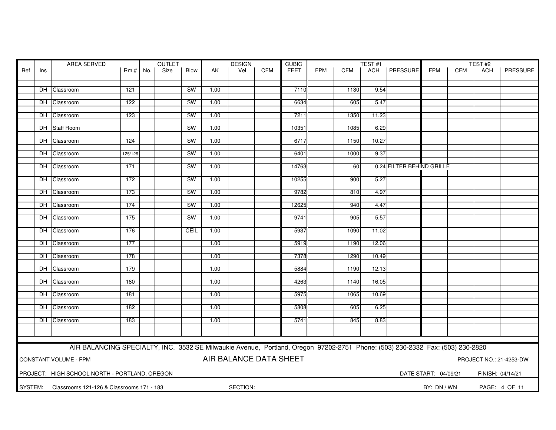|     | AREA SERVED                                                                                      |                                                                                                                               |           |  | <b>OUTLET</b> |           | <b>DESIGN</b> |     | <b>CUBIC</b> |             |            | TEST#1     |       |                           |            | TEST#2 |     |          |
|-----|--------------------------------------------------------------------------------------------------|-------------------------------------------------------------------------------------------------------------------------------|-----------|--|---------------|-----------|---------------|-----|--------------|-------------|------------|------------|-------|---------------------------|------------|--------|-----|----------|
| Ref | Ins                                                                                              |                                                                                                                               | $Rm.+No.$ |  | Size          | Blow      | AK            | Vel | <b>CFM</b>   | <b>FEET</b> | <b>FPM</b> | <b>CFM</b> |       | ACH   PRESSURE            | <b>FPM</b> | CFM    | ACH | PRESSURE |
|     |                                                                                                  |                                                                                                                               |           |  |               |           |               |     |              |             |            |            |       |                           |            |        |     |          |
|     |                                                                                                  |                                                                                                                               |           |  |               |           |               |     |              |             |            |            |       |                           |            |        |     |          |
|     |                                                                                                  | DH Classroom                                                                                                                  | 121       |  |               | <b>SW</b> | 1.00          |     |              | 7110        |            | 1130       | 9.54  |                           |            |        |     |          |
|     |                                                                                                  |                                                                                                                               |           |  |               |           |               |     |              |             |            |            |       |                           |            |        |     |          |
|     |                                                                                                  | DH Classroom                                                                                                                  | 122       |  |               | SW        | 1.00          |     |              | 6634        |            | 605        | 5.47  |                           |            |        |     |          |
|     |                                                                                                  | DH Classroom                                                                                                                  | 123       |  |               | <b>SW</b> | 1.00          |     |              | 7211        |            | 1350       | 11.23 |                           |            |        |     |          |
|     |                                                                                                  |                                                                                                                               |           |  |               |           |               |     |              |             |            |            |       |                           |            |        |     |          |
|     |                                                                                                  | DH Staff Room                                                                                                                 |           |  |               | <b>SW</b> | 1.00          |     |              | 10351       |            | 1085       | 6.29  |                           |            |        |     |          |
|     |                                                                                                  |                                                                                                                               |           |  |               |           |               |     |              |             |            |            |       |                           |            |        |     |          |
|     |                                                                                                  | DH Classroom                                                                                                                  | 124       |  |               | <b>SW</b> | 1.00          |     |              | 6717        |            | 1150       | 10.27 |                           |            |        |     |          |
|     |                                                                                                  |                                                                                                                               |           |  |               |           |               |     |              |             |            |            |       |                           |            |        |     |          |
|     |                                                                                                  | DH Classroom                                                                                                                  | 125/126   |  |               | SW        | 1.00          |     |              | 6401        |            | 1000       | 9.37  |                           |            |        |     |          |
|     |                                                                                                  |                                                                                                                               |           |  |               |           |               |     |              |             |            |            |       |                           |            |        |     |          |
|     |                                                                                                  | DH Classroom                                                                                                                  | 171       |  |               | SW        | 1.00          |     |              | 14763       |            | 60         |       | 0.24 FILTER BEHIND GRILLE |            |        |     |          |
|     |                                                                                                  |                                                                                                                               |           |  |               |           |               |     |              |             |            |            |       |                           |            |        |     |          |
|     |                                                                                                  | DH Classroom                                                                                                                  | 172       |  |               | <b>SW</b> | 1.00          |     |              | 10255       |            | 900        | 5.27  |                           |            |        |     |          |
|     |                                                                                                  | DH Classroom                                                                                                                  | 173       |  |               | <b>SW</b> | 1.00          |     |              | 9782        |            | 810        | 4.97  |                           |            |        |     |          |
|     |                                                                                                  |                                                                                                                               |           |  |               |           |               |     |              |             |            |            |       |                           |            |        |     |          |
|     |                                                                                                  | DH Classroom                                                                                                                  | 174       |  |               | <b>SW</b> | 1.00          |     |              | 12625       |            | 940        | 4.47  |                           |            |        |     |          |
|     |                                                                                                  |                                                                                                                               |           |  |               |           |               |     |              |             |            |            |       |                           |            |        |     |          |
|     |                                                                                                  | DH Classroom                                                                                                                  | 175       |  |               | SW        | 1.00          |     |              | 9741        |            | 905        | 5.57  |                           |            |        |     |          |
|     |                                                                                                  |                                                                                                                               |           |  |               |           |               |     |              |             |            |            |       |                           |            |        |     |          |
|     |                                                                                                  | DH Classroom                                                                                                                  | 176       |  |               | CEIL      | 1.00          |     |              | 5937        |            | 1090       | 11.02 |                           |            |        |     |          |
|     |                                                                                                  |                                                                                                                               |           |  |               |           |               |     |              |             |            |            |       |                           |            |        |     |          |
|     |                                                                                                  | DH Classroom                                                                                                                  | 177       |  |               |           | 1.00          |     |              | 5919        |            | 1190       | 12.06 |                           |            |        |     |          |
|     |                                                                                                  |                                                                                                                               |           |  |               |           |               |     |              |             |            |            |       |                           |            |        |     |          |
|     |                                                                                                  | DH Classroom                                                                                                                  | 178       |  |               |           | 1.00          |     |              | 7378        |            | 1290       | 10.49 |                           |            |        |     |          |
|     |                                                                                                  | DH Classroom                                                                                                                  | 179       |  |               |           | 1.00          |     |              | 5884        |            | 1190       | 12.13 |                           |            |        |     |          |
|     |                                                                                                  |                                                                                                                               |           |  |               |           |               |     |              |             |            |            |       |                           |            |        |     |          |
|     |                                                                                                  | DH Classroom                                                                                                                  | 180       |  |               |           | 1.00          |     |              | 4263        |            | 1140       | 16.05 |                           |            |        |     |          |
|     |                                                                                                  |                                                                                                                               |           |  |               |           |               |     |              |             |            |            |       |                           |            |        |     |          |
|     |                                                                                                  | DH Classroom                                                                                                                  | 181       |  |               |           | 1.00          |     |              | 5975        |            | 1065       | 10.69 |                           |            |        |     |          |
|     |                                                                                                  |                                                                                                                               |           |  |               |           |               |     |              |             |            |            |       |                           |            |        |     |          |
|     |                                                                                                  | DH Classroom                                                                                                                  | 182       |  |               |           | 1.00          |     |              | 5808        |            | 605        | 6.25  |                           |            |        |     |          |
|     |                                                                                                  |                                                                                                                               |           |  |               |           |               |     |              |             |            |            |       |                           |            |        |     |          |
|     |                                                                                                  | DH Classroom                                                                                                                  | 183       |  |               |           | 1.00          |     |              | 5741        |            | 845        | 8.83  |                           |            |        |     |          |
|     |                                                                                                  |                                                                                                                               |           |  |               |           |               |     |              |             |            |            |       |                           |            |        |     |          |
|     |                                                                                                  |                                                                                                                               |           |  |               |           |               |     |              |             |            |            |       |                           |            |        |     |          |
|     |                                                                                                  |                                                                                                                               |           |  |               |           |               |     |              |             |            |            |       |                           |            |        |     |          |
|     |                                                                                                  | AIR BALANCING SPECIALTY, INC. 3532 SE Milwaukie Avenue, Portland, Oregon 97202-2751 Phone: (503) 230-2332 Fax: (503) 230-2820 |           |  |               |           |               |     |              |             |            |            |       |                           |            |        |     |          |
|     |                                                                                                  |                                                                                                                               |           |  |               |           |               |     |              |             |            |            |       |                           |            |        |     |          |
|     | AIR BALANCE DATA SHEET<br><b>CONSTANT VOLUME - FPM</b><br>PROJECT NO.: 21-4253-DW                |                                                                                                                               |           |  |               |           |               |     |              |             |            |            |       |                           |            |        |     |          |
|     |                                                                                                  |                                                                                                                               |           |  |               |           |               |     |              |             |            |            |       |                           |            |        |     |          |
|     | PROJECT: HIGH SCHOOL NORTH - PORTLAND, OREGON<br>DATE START: 04/09/21<br>FINISH: 04/14/21        |                                                                                                                               |           |  |               |           |               |     |              |             |            |            |       |                           |            |        |     |          |
|     | SYSTEM:<br>SECTION:<br>BY: DN / WN<br>PAGE: 4 OF 11<br>Classrooms 121-126 & Classrooms 171 - 183 |                                                                                                                               |           |  |               |           |               |     |              |             |            |            |       |                           |            |        |     |          |
|     |                                                                                                  |                                                                                                                               |           |  |               |           |               |     |              |             |            |            |       |                           |            |        |     |          |
|     |                                                                                                  |                                                                                                                               |           |  |               |           |               |     |              |             |            |            |       |                           |            |        |     |          |